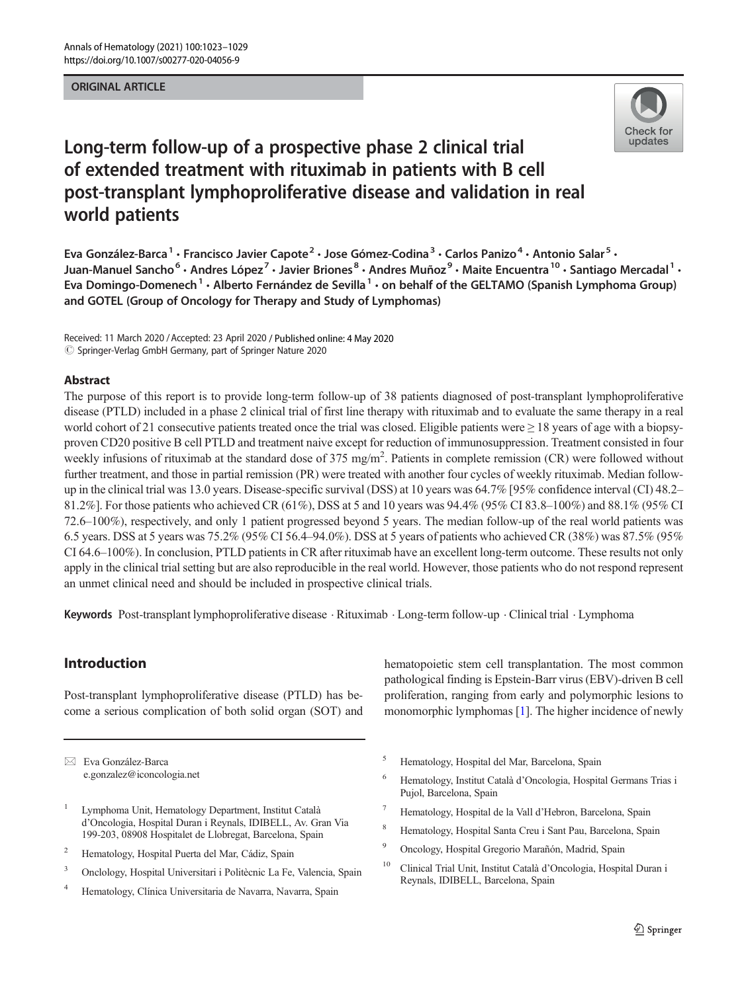#### ORIGINAL ARTICLE



# Long-term follow-up of a prospective phase 2 clinical trial of extended treatment with rituximab in patients with B cell post-transplant lymphoproliferative disease and validation in real world patients

Eva González-Barca<sup>1</sup> • Francisco Javier Capote<sup>2</sup> • Jose Gómez-Codina<sup>3</sup> • Carlos Panizo<sup>4</sup> • Antonio Salar<sup>5</sup> • Juan-Manuel Sancho<sup>6</sup> • Andres López<sup>7</sup> • Javier Briones<sup>8</sup> • Andres Muñoz<sup>9</sup> • Maite Encuentra<sup>10</sup> • Santiago Mercadal<sup>1</sup> • Eva Domingo-Domenech<sup>1</sup>  $\cdot$  Alberto Fernández de Sevilla<sup>1</sup>  $\cdot$  on behalf of the GELTAMO (Spanish Lymphoma Group) and GOTEL (Group of Oncology for Therapy and Study of Lymphomas)

Received: 11 March 2020 / Accepted: 23 April 2020 / Published online: 4 May 2020  $\oslash$  Springer-Verlag GmbH Germany, part of Springer Nature 2020

#### Abstract

The purpose of this report is to provide long-term follow-up of 38 patients diagnosed of post-transplant lymphoproliferative disease (PTLD) included in a phase 2 clinical trial of first line therapy with rituximab and to evaluate the same therapy in a real world cohort of 21 consecutive patients treated once the trial was closed. Eligible patients were ≥ 18 years of age with a biopsyproven CD20 positive B cell PTLD and treatment naive except for reduction of immunosuppression. Treatment consisted in four weekly infusions of rituximab at the standard dose of 375 mg/m<sup>2</sup>. Patients in complete remission (CR) were followed without further treatment, and those in partial remission (PR) were treated with another four cycles of weekly rituximab. Median followup in the clinical trial was 13.0 years. Disease-specific survival (DSS) at 10 years was 64.7% [95% confidence interval (CI) 48.2– 81.2%]. For those patients who achieved CR (61%), DSS at 5 and 10 years was 94.4% (95% CI 83.8–100%) and 88.1% (95% CI 72.6–100%), respectively, and only 1 patient progressed beyond 5 years. The median follow-up of the real world patients was 6.5 years. DSS at 5 years was 75.2% (95% CI 56.4–94.0%). DSS at 5 years of patients who achieved CR (38%) was 87.5% (95% CI 64.6–100%). In conclusion, PTLD patients in CR after rituximab have an excellent long-term outcome. These results not only apply in the clinical trial setting but are also reproducible in the real world. However, those patients who do not respond represent an unmet clinical need and should be included in prospective clinical trials.

Keywords Post-transplant lymphoproliferative disease . Rituximab . Long-term follow-up . Clinical trial . Lymphoma

# Introduction

Post-transplant lymphoproliferative disease (PTLD) has become a serious complication of both solid organ (SOT) and

 $\boxtimes$  Eva González-Barca [e.gonzalez@iconcologia.net](mailto:e.gonzalez@iconcologia.net)

- <sup>1</sup> Lymphoma Unit, Hematology Department, Institut Català d'Oncologia, Hospital Duran i Reynals, IDIBELL, Av. Gran Via 199-203, 08908 Hospitalet de Llobregat, Barcelona, Spain
- <sup>2</sup> Hematology, Hospital Puerta del Mar, Cádiz, Spain
- <sup>3</sup> Onclology, Hospital Universitari i Politècnic La Fe, Valencia, Spain
- <sup>4</sup> Hematology, Clínica Universitaria de Navarra, Navarra, Spain

hematopoietic stem cell transplantation. The most common pathological finding is Epstein-Barr virus (EBV)-driven B cell proliferation, ranging from early and polymorphic lesions to monomorphic lymphomas [[1\]](#page-5-0). The higher incidence of newly

- <sup>5</sup> Hematology, Hospital del Mar, Barcelona, Spain
- <sup>6</sup> Hematology, Institut Català d'Oncologia, Hospital Germans Trias i Pujol, Barcelona, Spain
- Hematology, Hospital de la Vall d'Hebron, Barcelona, Spain
- <sup>8</sup> Hematology, Hospital Santa Creu i Sant Pau, Barcelona, Spain
- <sup>9</sup> Oncology, Hospital Gregorio Marañón, Madrid, Spain
- <sup>10</sup> Clinical Trial Unit, Institut Català d'Oncologia, Hospital Duran i Reynals, IDIBELL, Barcelona, Spain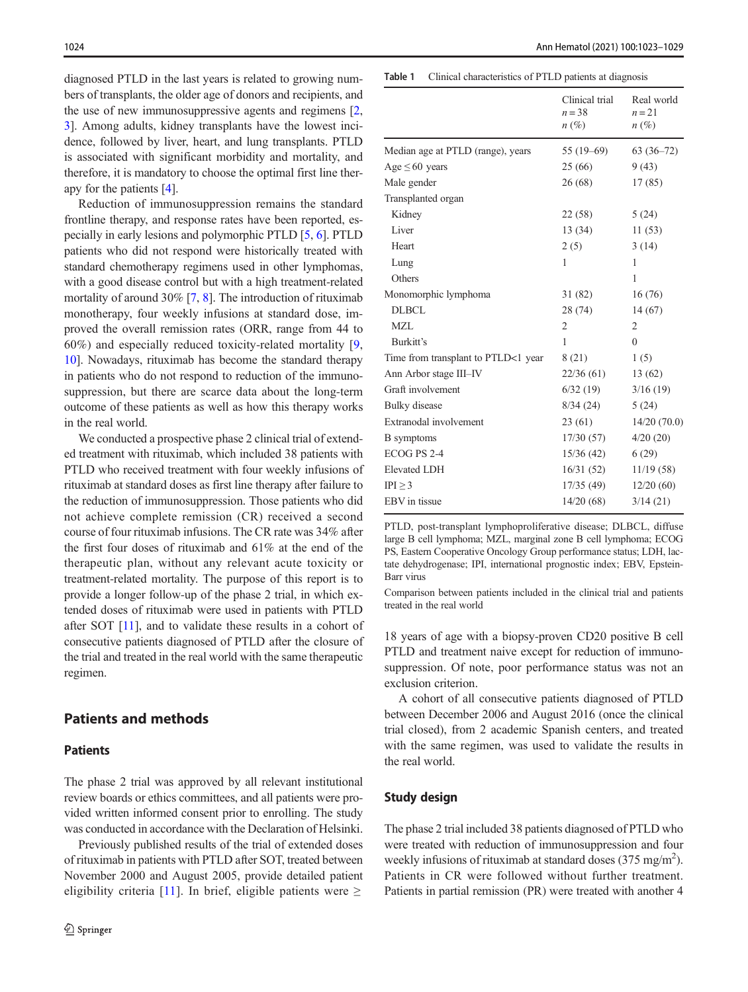<span id="page-1-0"></span>diagnosed PTLD in the last years is related to growing numbers of transplants, the older age of donors and recipients, and the use of new immunosuppressive agents and regimens [[2,](#page-6-0) [3\]](#page-6-0). Among adults, kidney transplants have the lowest incidence, followed by liver, heart, and lung transplants. PTLD is associated with significant morbidity and mortality, and therefore, it is mandatory to choose the optimal first line therapy for the patients [[4\]](#page-6-0).

Reduction of immunosuppression remains the standard frontline therapy, and response rates have been reported, especially in early lesions and polymorphic PTLD [\[5](#page-6-0), [6\]](#page-6-0). PTLD patients who did not respond were historically treated with standard chemotherapy regimens used in other lymphomas, with a good disease control but with a high treatment-related mortality of around 30% [[7,](#page-6-0) [8](#page-6-0)]. The introduction of rituximab monotherapy, four weekly infusions at standard dose, improved the overall remission rates (ORR, range from 44 to 60%) and especially reduced toxicity-related mortality [[9,](#page-6-0) [10\]](#page-6-0). Nowadays, rituximab has become the standard therapy in patients who do not respond to reduction of the immunosuppression, but there are scarce data about the long-term outcome of these patients as well as how this therapy works in the real world.

We conducted a prospective phase 2 clinical trial of extended treatment with rituximab, which included 38 patients with PTLD who received treatment with four weekly infusions of rituximab at standard doses as first line therapy after failure to the reduction of immunosuppression. Those patients who did not achieve complete remission (CR) received a second course of four rituximab infusions. The CR rate was 34% after the first four doses of rituximab and 61% at the end of the therapeutic plan, without any relevant acute toxicity or treatment-related mortality. The purpose of this report is to provide a longer follow-up of the phase 2 trial, in which extended doses of rituximab were used in patients with PTLD after SOT [[11](#page-6-0)], and to validate these results in a cohort of consecutive patients diagnosed of PTLD after the closure of the trial and treated in the real world with the same therapeutic regimen.

# Patients and methods

#### **Patients**

The phase 2 trial was approved by all relevant institutional review boards or ethics committees, and all patients were provided written informed consent prior to enrolling. The study was conducted in accordance with the Declaration of Helsinki.

Previously published results of the trial of extended doses of rituximab in patients with PTLD after SOT, treated between November 2000 and August 2005, provide detailed patient eligibility criteria [\[11](#page-6-0)]. In brief, eligible patients were  $\geq$ 

Table 1 Clinical characteristics of PTLD patients at diagnosis

|                                     | Clinical trial<br>$n = 38$<br>$n(\%)$ | Real world<br>$n = 21$<br>$n(\%)$ |
|-------------------------------------|---------------------------------------|-----------------------------------|
| Median age at PTLD (range), years   | $55(19-69)$                           | $63(36-72)$                       |
| Age $\leq 60$ years                 | 25(66)                                | 9(43)                             |
| Male gender                         | 26 (68)                               | 17(85)                            |
| Transplanted organ                  |                                       |                                   |
| Kidney                              | 22 (58)                               | 5(24)                             |
| Liver                               | 13(34)                                | 11(53)                            |
| Heart                               | 2(5)                                  | 3(14)                             |
| Lung                                | 1                                     | 1                                 |
| Others                              |                                       | 1                                 |
| Monomorphic lymphoma                | 31(82)                                | 16(76)                            |
| DLBCL                               | 28 (74)                               | 14(67)                            |
| MZL                                 | 2                                     | $\overline{2}$                    |
| Burkitt's                           | $\mathbf{1}$                          | $\Omega$                          |
| Time from transplant to PTLD<1 year | 8 (21)                                | 1(5)                              |
| Ann Arbor stage III-IV              | 22/36 (61)                            | 13 (62)                           |
| Graft involvement                   | 6/32(19)                              | 3/16(19)                          |
| Bulky disease                       | 8/34(24)                              | 5(24)                             |
| Extranodal involvement              | 23(61)                                | 14/20 (70.0)                      |
| <b>B</b> symptoms                   | 17/30(57)                             | 4/20(20)                          |
| ECOG PS 2-4                         | 15/36(42)                             | 6(29)                             |
| <b>Elevated LDH</b>                 | 16/31(52)                             | 11/19(58)                         |
| $IPI \geq 3$                        | 17/35 (49)                            | 12/20(60)                         |
| EBV in tissue                       | 14/20(68)                             | 3/14(21)                          |
|                                     |                                       |                                   |

PTLD, post-transplant lymphoproliferative disease; DLBCL, diffuse large B cell lymphoma; MZL, marginal zone B cell lymphoma; ECOG PS, Eastern Cooperative Oncology Group performance status; LDH, lactate dehydrogenase; IPI, international prognostic index; EBV, Epstein-Barr virus

Comparison between patients included in the clinical trial and patients treated in the real world

18 years of age with a biopsy-proven CD20 positive B cell PTLD and treatment naive except for reduction of immunosuppression. Of note, poor performance status was not an exclusion criterion.

A cohort of all consecutive patients diagnosed of PTLD between December 2006 and August 2016 (once the clinical trial closed), from 2 academic Spanish centers, and treated with the same regimen, was used to validate the results in the real world.

#### Study design

The phase 2 trial included 38 patients diagnosed of PTLD who were treated with reduction of immunosuppression and four weekly infusions of rituximab at standard doses (375 mg/m<sup>2</sup>). Patients in CR were followed without further treatment. Patients in partial remission (PR) were treated with another 4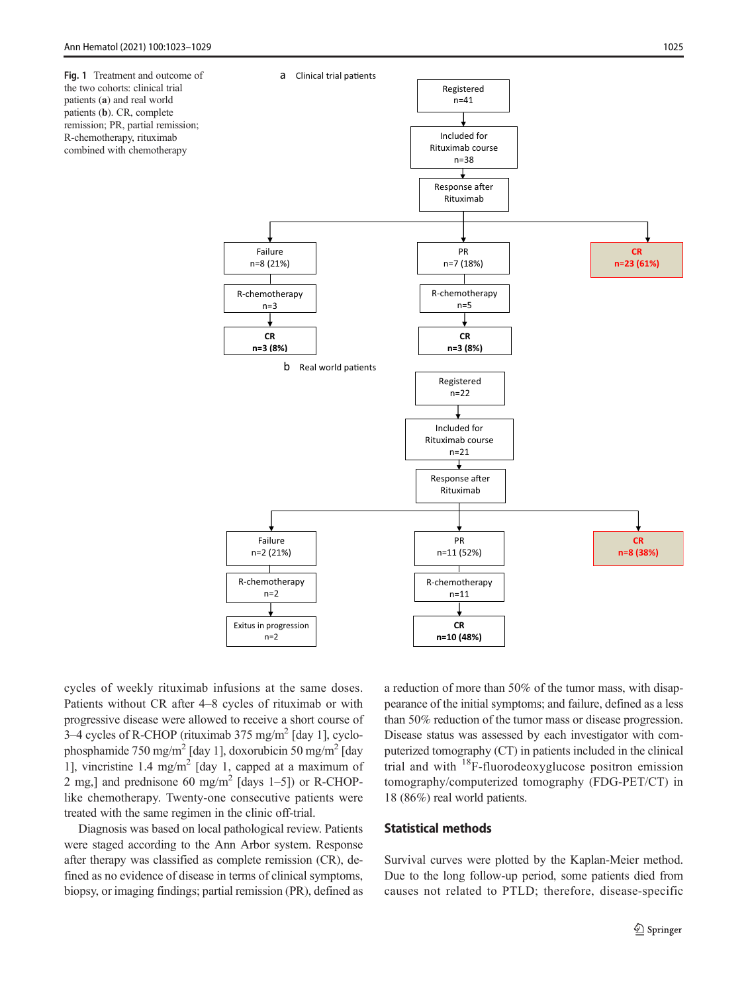<span id="page-2-0"></span>

cycles of weekly rituximab infusions at the same doses. Patients without CR after 4–8 cycles of rituximab or with progressive disease were allowed to receive a short course of 3–4 cycles of R-CHOP (rituximab 375 mg/m<sup>2</sup> [day 1], cyclophosphamide 750 mg/m<sup>2</sup> [day 1], doxorubicin 50 mg/m<sup>2</sup> [day 1], vincristine 1.4 mg/m<sup>2</sup> [day 1, capped at a maximum of 2 mg,] and prednisone 60 mg/m<sup>2</sup> [days 1–5]) or R-CHOPlike chemotherapy. Twenty-one consecutive patients were treated with the same regimen in the clinic off-trial.

Diagnosis was based on local pathological review. Patients were staged according to the Ann Arbor system. Response after therapy was classified as complete remission (CR), defined as no evidence of disease in terms of clinical symptoms, biopsy, or imaging findings; partial remission (PR), defined as a reduction of more than 50% of the tumor mass, with disappearance of the initial symptoms; and failure, defined as a less than 50% reduction of the tumor mass or disease progression. Disease status was assessed by each investigator with computerized tomography (CT) in patients included in the clinical trial and with  $18F$ -fluorodeoxyglucose positron emission tomography/computerized tomography (FDG-PET/CT) in 18 (86%) real world patients.

### Statistical methods

Survival curves were plotted by the Kaplan-Meier method. Due to the long follow-up period, some patients died from causes not related to PTLD; therefore, disease-specific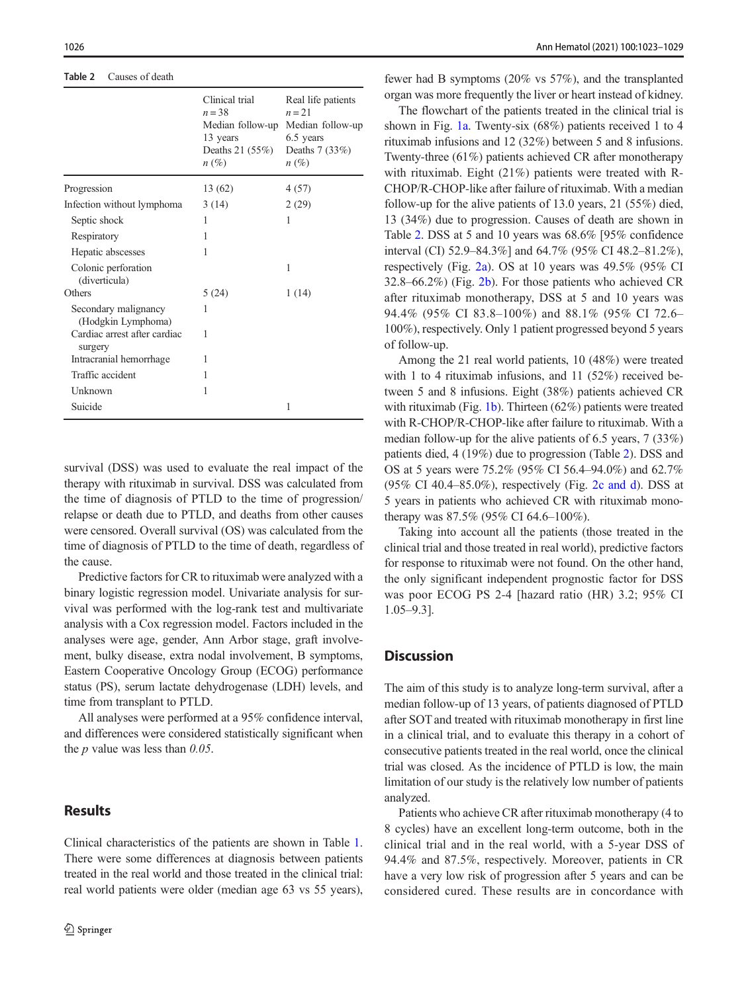#### Table 2 Causes of death

|                                            | Clinical trial<br>$n = 38$<br>13 years<br>Deaths 21 $(55%)$<br>$n(\%)$ | Real life patients<br>$n = 21$<br>Median follow-up Median follow-up<br>6.5 years<br>Deaths 7 (33%)<br>$n(\%)$ |
|--------------------------------------------|------------------------------------------------------------------------|---------------------------------------------------------------------------------------------------------------|
| Progression                                | 13 (62)                                                                | 4 (57)                                                                                                        |
| Infection without lymphoma                 | 3(14)                                                                  | 2(29)                                                                                                         |
| Septic shock                               | 1                                                                      | 1                                                                                                             |
| Respiratory                                | 1                                                                      |                                                                                                               |
| Hepatic abscesses                          | 1                                                                      |                                                                                                               |
| Colonic perforation<br>(diverticula)       |                                                                        | 1                                                                                                             |
| Others                                     | 5(24)                                                                  | 1(14)                                                                                                         |
| Secondary malignancy<br>(Hodgkin Lymphoma) | 1                                                                      |                                                                                                               |
| Cardiac arrest after cardiac<br>surgery    | 1                                                                      |                                                                                                               |
| Intracranial hemorrhage                    | 1                                                                      |                                                                                                               |
| Traffic accident                           | 1                                                                      |                                                                                                               |
| Unknown                                    | 1                                                                      |                                                                                                               |
| Suicide                                    |                                                                        | 1                                                                                                             |

survival (DSS) was used to evaluate the real impact of the therapy with rituximab in survival. DSS was calculated from the time of diagnosis of PTLD to the time of progression/ relapse or death due to PTLD, and deaths from other causes were censored. Overall survival (OS) was calculated from the time of diagnosis of PTLD to the time of death, regardless of the cause.

Predictive factors for CR to rituximab were analyzed with a binary logistic regression model. Univariate analysis for survival was performed with the log-rank test and multivariate analysis with a Cox regression model. Factors included in the analyses were age, gender, Ann Arbor stage, graft involvement, bulky disease, extra nodal involvement, B symptoms, Eastern Cooperative Oncology Group (ECOG) performance status (PS), serum lactate dehydrogenase (LDH) levels, and time from transplant to PTLD.

All analyses were performed at a 95% confidence interval, and differences were considered statistically significant when the  $p$  value was less than 0.05.

## Results

Clinical characteristics of the patients are shown in Table [1.](#page-1-0) There were some differences at diagnosis between patients treated in the real world and those treated in the clinical trial: real world patients were older (median age 63 vs 55 years),

fewer had B symptoms (20% vs 57%), and the transplanted organ was more frequently the liver or heart instead of kidney.

The flowchart of the patients treated in the clinical trial is shown in Fig. [1a.](#page-2-0) Twenty-six (68%) patients received 1 to 4 rituximab infusions and 12 (32%) between 5 and 8 infusions. Twenty-three (61%) patients achieved CR after monotherapy with rituximab. Eight (21%) patients were treated with R-CHOP/R-CHOP-like after failure of rituximab. With a median follow-up for the alive patients of 13.0 years, 21 (55%) died, 13 (34%) due to progression. Causes of death are shown in Table 2. DSS at 5 and 10 years was 68.6% [95% confidence interval (CI) 52.9–84.3%] and 64.7% (95% CI 48.2–81.2%), respectively (Fig. [2a](#page-4-0)). OS at 10 years was 49.5% (95% CI 32.8–66.2%) (Fig. [2b](#page-4-0)). For those patients who achieved CR after rituximab monotherapy, DSS at 5 and 10 years was 94.4% (95% CI 83.8–100%) and 88.1% (95% CI 72.6– 100%), respectively. Only 1 patient progressed beyond 5 years of follow-up.

Among the 21 real world patients, 10 (48%) were treated with 1 to 4 rituximab infusions, and 11 (52%) received between 5 and 8 infusions. Eight (38%) patients achieved CR with rituximab (Fig. [1b\)](#page-2-0). Thirteen (62%) patients were treated with R-CHOP/R-CHOP-like after failure to rituximab. With a median follow-up for the alive patients of 6.5 years, 7 (33%) patients died, 4 (19%) due to progression (Table 2). DSS and OS at 5 years were 75.2% (95% CI 56.4–94.0%) and 62.7% (95% CI 40.4–85.0%), respectively (Fig. [2c and d\)](#page-4-0). DSS at 5 years in patients who achieved CR with rituximab monotherapy was 87.5% (95% CI 64.6–100%).

Taking into account all the patients (those treated in the clinical trial and those treated in real world), predictive factors for response to rituximab were not found. On the other hand, the only significant independent prognostic factor for DSS was poor ECOG PS 2-4 [hazard ratio (HR) 3.2; 95% CI 1.05–9.3].

# **Discussion**

The aim of this study is to analyze long-term survival, after a median follow-up of 13 years, of patients diagnosed of PTLD after SOT and treated with rituximab monotherapy in first line in a clinical trial, and to evaluate this therapy in a cohort of consecutive patients treated in the real world, once the clinical trial was closed. As the incidence of PTLD is low, the main limitation of our study is the relatively low number of patients analyzed.

Patients who achieve CR after rituximab monotherapy (4 to 8 cycles) have an excellent long-term outcome, both in the clinical trial and in the real world, with a 5-year DSS of 94.4% and 87.5%, respectively. Moreover, patients in CR have a very low risk of progression after 5 years and can be considered cured. These results are in concordance with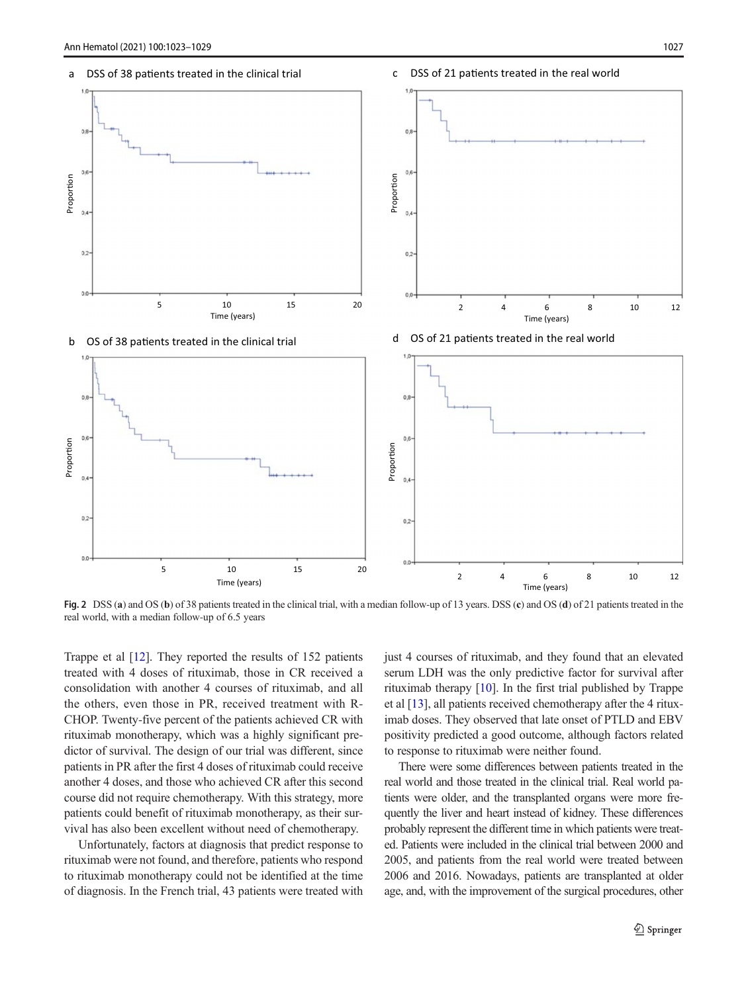<span id="page-4-0"></span>

Fig. 2 DSS (a) and OS (b) of 38 patients treated in the clinical trial, with a median follow-up of 13 years. DSS (c) and OS (d) of 21 patients treated in the real world, with a median follow-up of 6.5 years

Trappe et al [\[12\]](#page-6-0). They reported the results of 152 patients treated with 4 doses of rituximab, those in CR received a consolidation with another 4 courses of rituximab, and all the others, even those in PR, received treatment with R-CHOP. Twenty-five percent of the patients achieved CR with rituximab monotherapy, which was a highly significant predictor of survival. The design of our trial was different, since patients in PR after the first 4 doses of rituximab could receive another 4 doses, and those who achieved CR after this second course did not require chemotherapy. With this strategy, more patients could benefit of rituximab monotherapy, as their survival has also been excellent without need of chemotherapy.

Unfortunately, factors at diagnosis that predict response to rituximab were not found, and therefore, patients who respond to rituximab monotherapy could not be identified at the time of diagnosis. In the French trial, 43 patients were treated with just 4 courses of rituximab, and they found that an elevated serum LDH was the only predictive factor for survival after rituximab therapy [\[10\]](#page-6-0). In the first trial published by Trappe et al [[13\]](#page-6-0), all patients received chemotherapy after the 4 rituximab doses. They observed that late onset of PTLD and EBV positivity predicted a good outcome, although factors related to response to rituximab were neither found.

There were some differences between patients treated in the real world and those treated in the clinical trial. Real world patients were older, and the transplanted organs were more frequently the liver and heart instead of kidney. These differences probably represent the different time in which patients were treated. Patients were included in the clinical trial between 2000 and 2005, and patients from the real world were treated between 2006 and 2016. Nowadays, patients are transplanted at older age, and, with the improvement of the surgical procedures, other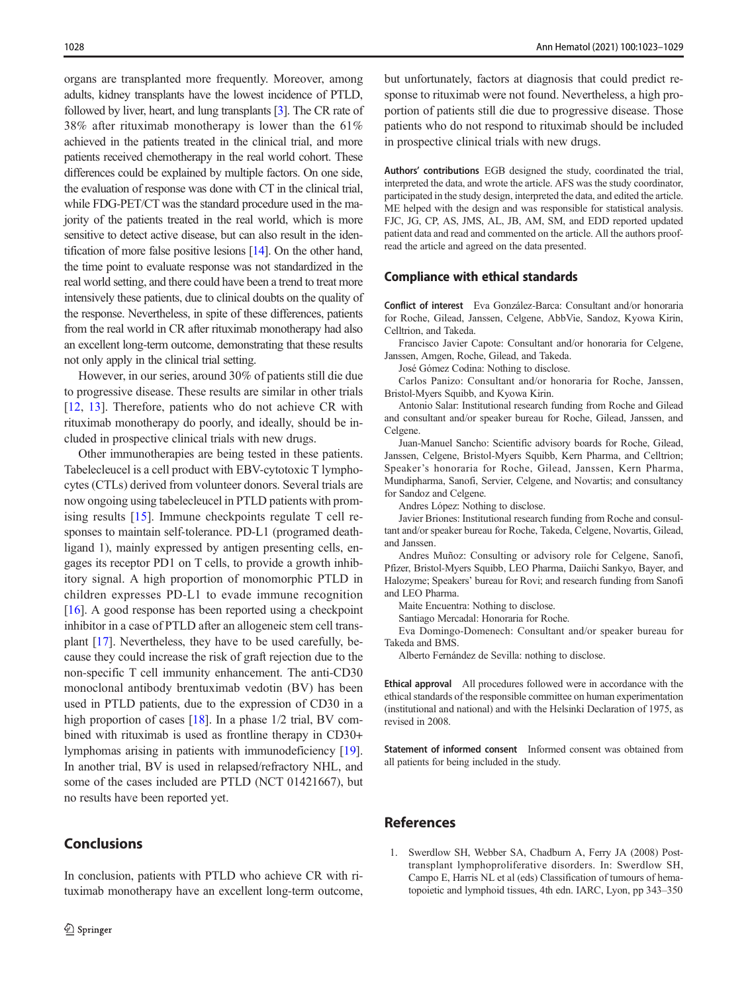<span id="page-5-0"></span>organs are transplanted more frequently. Moreover, among adults, kidney transplants have the lowest incidence of PTLD, followed by liver, heart, and lung transplants [\[3\]](#page-6-0). The CR rate of 38% after rituximab monotherapy is lower than the 61% achieved in the patients treated in the clinical trial, and more patients received chemotherapy in the real world cohort. These differences could be explained by multiple factors. On one side, the evaluation of response was done with CT in the clinical trial, while FDG-PET/CT was the standard procedure used in the majority of the patients treated in the real world, which is more sensitive to detect active disease, but can also result in the identification of more false positive lesions [\[14\]](#page-6-0). On the other hand, the time point to evaluate response was not standardized in the real world setting, and there could have been a trend to treat more intensively these patients, due to clinical doubts on the quality of the response. Nevertheless, in spite of these differences, patients from the real world in CR after rituximab monotherapy had also an excellent long-term outcome, demonstrating that these results not only apply in the clinical trial setting.

However, in our series, around 30% of patients still die due to progressive disease. These results are similar in other trials [\[12](#page-6-0), [13](#page-6-0)]. Therefore, patients who do not achieve CR with rituximab monotherapy do poorly, and ideally, should be included in prospective clinical trials with new drugs.

Other immunotherapies are being tested in these patients. Tabelecleucel is a cell product with EBV-cytotoxic T lymphocytes (CTLs) derived from volunteer donors. Several trials are now ongoing using tabelecleucel in PTLD patients with promising results [\[15](#page-6-0)]. Immune checkpoints regulate T cell responses to maintain self-tolerance. PD-L1 (programed deathligand 1), mainly expressed by antigen presenting cells, engages its receptor PD1 on T cells, to provide a growth inhibitory signal. A high proportion of monomorphic PTLD in children expresses PD-L1 to evade immune recognition [\[16\]](#page-6-0). A good response has been reported using a checkpoint inhibitor in a case of PTLD after an allogeneic stem cell transplant [[17\]](#page-6-0). Nevertheless, they have to be used carefully, because they could increase the risk of graft rejection due to the non-specific T cell immunity enhancement. The anti-CD30 monoclonal antibody brentuximab vedotin (BV) has been used in PTLD patients, due to the expression of CD30 in a high proportion of cases [\[18](#page-6-0)]. In a phase 1/2 trial, BV combined with rituximab is used as frontline therapy in CD30+ lymphomas arising in patients with immunodeficiency [[19\]](#page-6-0). In another trial, BV is used in relapsed/refractory NHL, and some of the cases included are PTLD (NCT 01421667), but no results have been reported yet.

## **Conclusions**

In conclusion, patients with PTLD who achieve CR with rituximab monotherapy have an excellent long-term outcome,

but unfortunately, factors at diagnosis that could predict response to rituximab were not found. Nevertheless, a high proportion of patients still die due to progressive disease. Those patients who do not respond to rituximab should be included in prospective clinical trials with new drugs.

Authors' contributions EGB designed the study, coordinated the trial, interpreted the data, and wrote the article. AFS was the study coordinator, participated in the study design, interpreted the data, and edited the article. ME helped with the design and was responsible for statistical analysis. FJC, JG, CP, AS, JMS, AL, JB, AM, SM, and EDD reported updated patient data and read and commented on the article. All the authors proofread the article and agreed on the data presented.

#### Compliance with ethical standards

Conflict of interest Eva González-Barca: Consultant and/or honoraria for Roche, Gilead, Janssen, Celgene, AbbVie, Sandoz, Kyowa Kirin, Celltrion, and Takeda.

Francisco Javier Capote: Consultant and/or honoraria for Celgene, Janssen, Amgen, Roche, Gilead, and Takeda.

José Gómez Codina: Nothing to disclose.

Carlos Panizo: Consultant and/or honoraria for Roche, Janssen, Bristol-Myers Squibb, and Kyowa Kirin.

Antonio Salar: Institutional research funding from Roche and Gilead and consultant and/or speaker bureau for Roche, Gilead, Janssen, and Celgene.

Juan-Manuel Sancho: Scientific advisory boards for Roche, Gilead, Janssen, Celgene, Bristol-Myers Squibb, Kern Pharma, and Celltrion; Speaker's honoraria for Roche, Gilead, Janssen, Kern Pharma, Mundipharma, Sanofi, Servier, Celgene, and Novartis; and consultancy for Sandoz and Celgene.

Andres López: Nothing to disclose.

Javier Briones: Institutional research funding from Roche and consultant and/or speaker bureau for Roche, Takeda, Celgene, Novartis, Gilead, and Janssen.

Andres Muñoz: Consulting or advisory role for Celgene, Sanofi, Pfizer, Bristol-Myers Squibb, LEO Pharma, Daiichi Sankyo, Bayer, and Halozyme; Speakers' bureau for Rovi; and research funding from Sanofi and LEO Pharma.

Maite Encuentra: Nothing to disclose.

Santiago Mercadal: Honoraria for Roche.

Eva Domingo-Domenech: Consultant and/or speaker bureau for Takeda and BMS.

Alberto Fernández de Sevilla: nothing to disclose.

Ethical approval All procedures followed were in accordance with the ethical standards of the responsible committee on human experimentation (institutional and national) and with the Helsinki Declaration of 1975, as revised in 2008.

Statement of informed consent Informed consent was obtained from all patients for being included in the study.

## References

1. Swerdlow SH, Webber SA, Chadburn A, Ferry JA (2008) Posttransplant lymphoproliferative disorders. In: Swerdlow SH, Campo E, Harris NL et al (eds) Classification of tumours of hematopoietic and lymphoid tissues, 4th edn. IARC, Lyon, pp 343–350